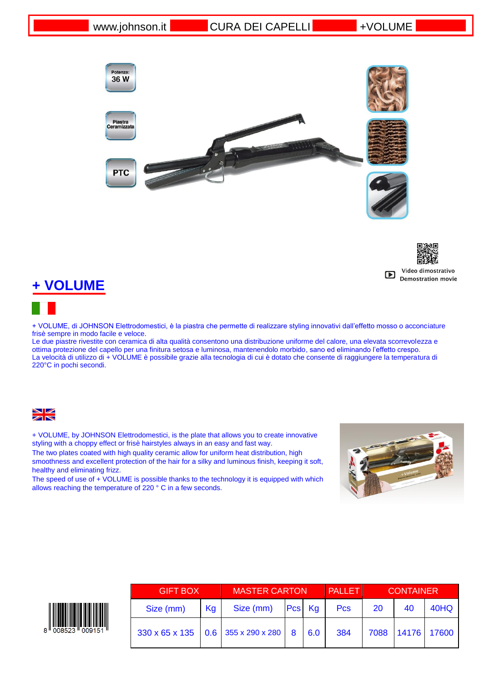



# **+ VOLUME**

+ VOLUME, di JOHNSON Elettrodomestici, è la piastra che permette di realizzare styling innovativi dall'effetto mosso o acconciature frisè sempre in modo facile e veloce.

Le due piastre rivestite con ceramica di alta qualità consentono una distribuzione uniforme del calore, una elevata scorrevolezza e ottima protezione del capello per una finitura setosa e luminosa, mantenendolo morbido, sano ed eliminando l'effetto crespo. La velocità di utilizzo di + VOLUME è possibile grazie alla tecnologia di cui è dotato che consente di raggiungere la temperatura di 220°C in pochi secondi.



+ VOLUME, by JOHNSON Elettrodomestici, is the plate that allows you to create innovative styling with a choppy effect or frisè hairstyles always in an easy and fast way.

The two plates coated with high quality ceramic allow for uniform heat distribution, high smoothness and excellent protection of the hair for a silky and luminous finish, keeping it soft, healthy and eliminating frizz.

The speed of use of + VOLUME is possible thanks to the technology it is equipped with which allows reaching the temperature of 220 ° C in a few seconds.





| <b>GIFT BOX</b>                                      |    | <b>MASTER CARTON</b> |  |            | <b>PALLET</b> | <b>CONTAINER</b> |             |      |
|------------------------------------------------------|----|----------------------|--|------------|---------------|------------------|-------------|------|
| Size (mm)                                            | Kg | Size (mm)            |  | $Pcs$ $Kg$ | <b>Pcs</b>    | 20               | 40          | 40HQ |
| $330 \times 65 \times 135$ 0.6 355 x 290 x 280 8 6.0 |    |                      |  |            | 384           | 7088             | 14176 17600 |      |